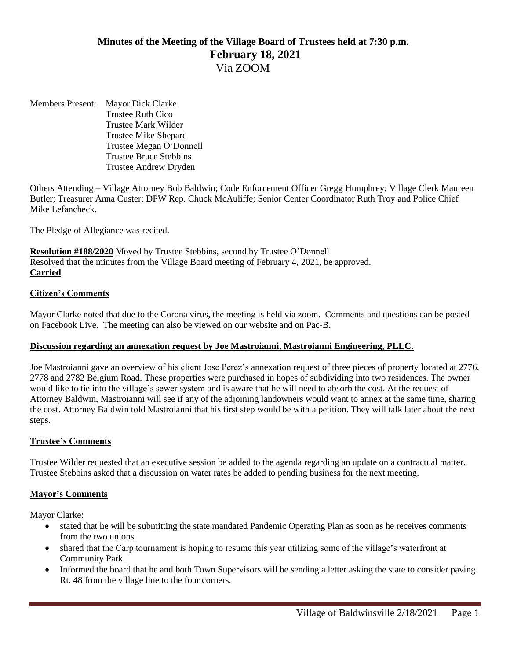# **Minutes of the Meeting of the Village Board of Trustees held at 7:30 p.m. February 18, 2021** Via ZOOM

Members Present: Mayor Dick Clarke Trustee Ruth Cico Trustee Mark Wilder Trustee Mike Shepard Trustee Megan O'Donnell Trustee Bruce Stebbins Trustee Andrew Dryden

Others Attending – Village Attorney Bob Baldwin; Code Enforcement Officer Gregg Humphrey; Village Clerk Maureen Butler; Treasurer Anna Custer; DPW Rep. Chuck McAuliffe; Senior Center Coordinator Ruth Troy and Police Chief Mike Lefancheck.

The Pledge of Allegiance was recited.

**Resolution #188/2020** Moved by Trustee Stebbins, second by Trustee O'Donnell Resolved that the minutes from the Village Board meeting of February 4, 2021, be approved. **Carried**

#### **Citizen's Comments**

Mayor Clarke noted that due to the Corona virus, the meeting is held via zoom. Comments and questions can be posted on Facebook Live. The meeting can also be viewed on our website and on Pac-B.

#### **Discussion regarding an annexation request by Joe Mastroianni, Mastroianni Engineering, PLLC.**

Joe Mastroianni gave an overview of his client Jose Perez's annexation request of three pieces of property located at 2776, 2778 and 2782 Belgium Road. These properties were purchased in hopes of subdividing into two residences. The owner would like to tie into the village's sewer system and is aware that he will need to absorb the cost. At the request of Attorney Baldwin, Mastroianni will see if any of the adjoining landowners would want to annex at the same time, sharing the cost. Attorney Baldwin told Mastroianni that his first step would be with a petition. They will talk later about the next steps.

#### **Trustee's Comments**

Trustee Wilder requested that an executive session be added to the agenda regarding an update on a contractual matter. Trustee Stebbins asked that a discussion on water rates be added to pending business for the next meeting.

#### **Mayor's Comments**

Mayor Clarke:

- stated that he will be submitting the state mandated Pandemic Operating Plan as soon as he receives comments from the two unions.
- shared that the Carp tournament is hoping to resume this year utilizing some of the village's waterfront at Community Park.
- Informed the board that he and both Town Supervisors will be sending a letter asking the state to consider paving Rt. 48 from the village line to the four corners.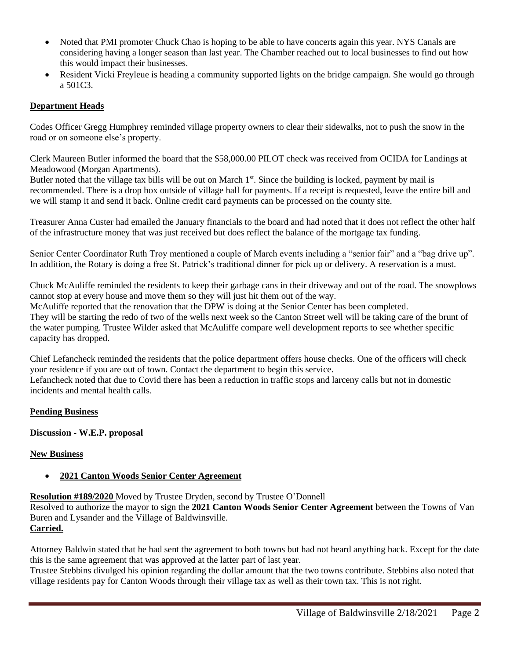- Noted that PMI promoter Chuck Chao is hoping to be able to have concerts again this year. NYS Canals are considering having a longer season than last year. The Chamber reached out to local businesses to find out how this would impact their businesses.
- Resident Vicki Freyleue is heading a community supported lights on the bridge campaign. She would go through a 501C3.

# **Department Heads**

Codes Officer Gregg Humphrey reminded village property owners to clear their sidewalks, not to push the snow in the road or on someone else's property.

Clerk Maureen Butler informed the board that the \$58,000.00 PILOT check was received from OCIDA for Landings at Meadowood (Morgan Apartments).

Butler noted that the village tax bills will be out on March  $1<sup>st</sup>$ . Since the building is locked, payment by mail is recommended. There is a drop box outside of village hall for payments. If a receipt is requested, leave the entire bill and we will stamp it and send it back. Online credit card payments can be processed on the county site.

Treasurer Anna Custer had emailed the January financials to the board and had noted that it does not reflect the other half of the infrastructure money that was just received but does reflect the balance of the mortgage tax funding.

Senior Center Coordinator Ruth Troy mentioned a couple of March events including a "senior fair" and a "bag drive up". In addition, the Rotary is doing a free St. Patrick's traditional dinner for pick up or delivery. A reservation is a must.

Chuck McAuliffe reminded the residents to keep their garbage cans in their driveway and out of the road. The snowplows cannot stop at every house and move them so they will just hit them out of the way.

McAuliffe reported that the renovation that the DPW is doing at the Senior Center has been completed.

They will be starting the redo of two of the wells next week so the Canton Street well will be taking care of the brunt of the water pumping. Trustee Wilder asked that McAuliffe compare well development reports to see whether specific capacity has dropped.

Chief Lefancheck reminded the residents that the police department offers house checks. One of the officers will check your residence if you are out of town. Contact the department to begin this service.

Lefancheck noted that due to Covid there has been a reduction in traffic stops and larceny calls but not in domestic incidents and mental health calls.

# **Pending Business**

# **Discussion - W.E.P. proposal**

# **New Business**

# • **2021 Canton Woods Senior Center Agreement**

**Resolution #189/2020** Moved by Trustee Dryden, second by Trustee O'Donnell

Resolved to authorize the mayor to sign the **2021 Canton Woods Senior Center Agreement** between the Towns of Van Buren and Lysander and the Village of Baldwinsville.

# **Carried.**

Attorney Baldwin stated that he had sent the agreement to both towns but had not heard anything back. Except for the date this is the same agreement that was approved at the latter part of last year.

Trustee Stebbins divulged his opinion regarding the dollar amount that the two towns contribute. Stebbins also noted that village residents pay for Canton Woods through their village tax as well as their town tax. This is not right.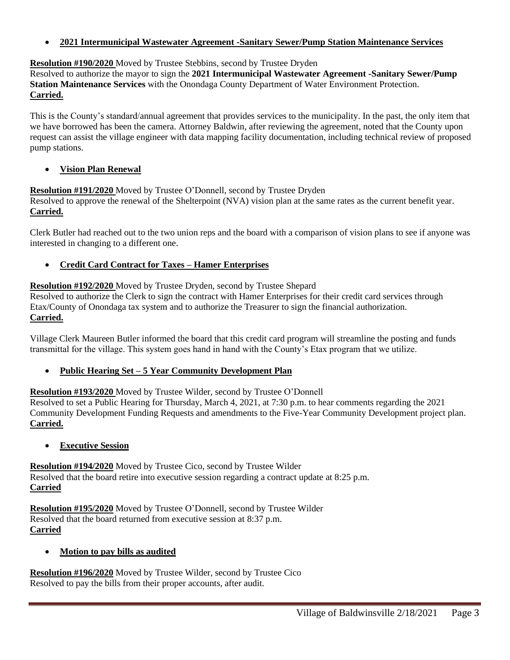• **2021 Intermunicipal Wastewater Agreement -Sanitary Sewer/Pump Station Maintenance Services**

# **Resolution #190/2020** Moved by Trustee Stebbins, second by Trustee Dryden

Resolved to authorize the mayor to sign the **2021 Intermunicipal Wastewater Agreement -Sanitary Sewer/Pump Station Maintenance Services** with the Onondaga County Department of Water Environment Protection. **Carried.**

This is the County's standard/annual agreement that provides services to the municipality. In the past, the only item that we have borrowed has been the camera. Attorney Baldwin, after reviewing the agreement, noted that the County upon request can assist the village engineer with data mapping facility documentation, including technical review of proposed pump stations.

# • **Vision Plan Renewal**

**Resolution #191/2020** Moved by Trustee O'Donnell, second by Trustee Dryden Resolved to approve the renewal of the Shelterpoint (NVA) vision plan at the same rates as the current benefit year. **Carried.**

Clerk Butler had reached out to the two union reps and the board with a comparison of vision plans to see if anyone was interested in changing to a different one.

# • **Credit Card Contract for Taxes – Hamer Enterprises**

# **Resolution #192/2020** Moved by Trustee Dryden, second by Trustee Shepard

Resolved to authorize the Clerk to sign the contract with Hamer Enterprises for their credit card services through Etax/County of Onondaga tax system and to authorize the Treasurer to sign the financial authorization. **Carried.**

Village Clerk Maureen Butler informed the board that this credit card program will streamline the posting and funds transmittal for the village. This system goes hand in hand with the County's Etax program that we utilize.

# • **Public Hearing Set – 5 Year Community Development Plan**

**Resolution #193/2020** Moved by Trustee Wilder, second by Trustee O'Donnell

Resolved to set a Public Hearing for Thursday, March 4, 2021, at 7:30 p.m. to hear comments regarding the 2021 Community Development Funding Requests and amendments to the Five-Year Community Development project plan. **Carried.**

# • **Executive Session**

**Resolution #194/2020** Moved by Trustee Cico, second by Trustee Wilder Resolved that the board retire into executive session regarding a contract update at 8:25 p.m. **Carried**

**Resolution #195/2020** Moved by Trustee O'Donnell, second by Trustee Wilder Resolved that the board returned from executive session at 8:37 p.m. **Carried**

# • **Motion to pay bills as audited**

**Resolution #196/2020** Moved by Trustee Wilder, second by Trustee Cico Resolved to pay the bills from their proper accounts, after audit.